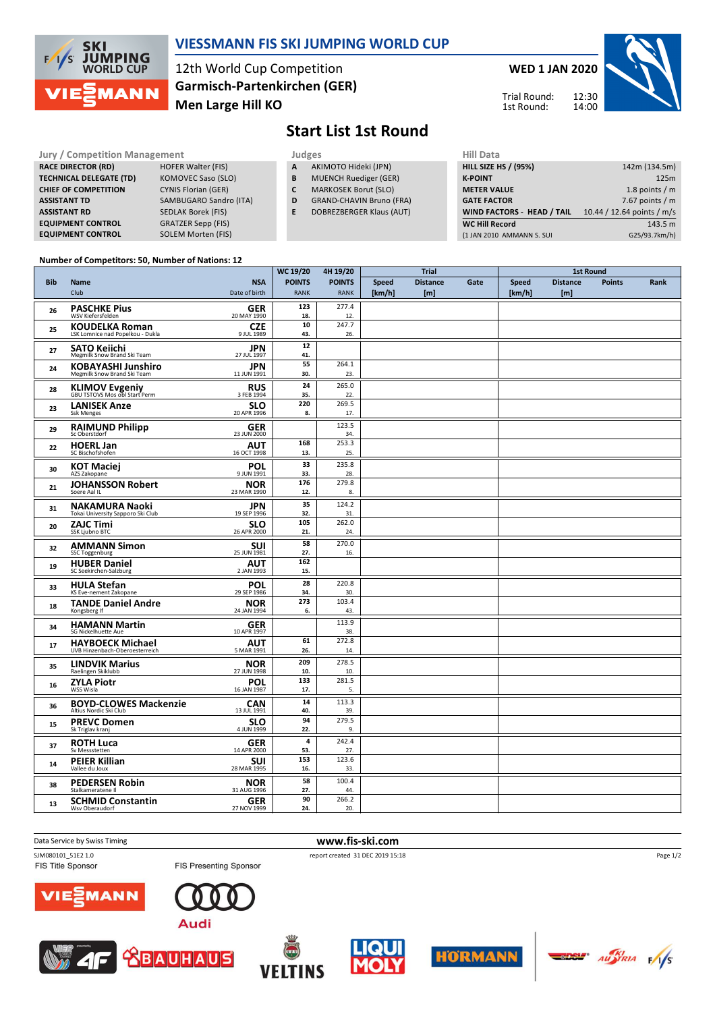

### **VIESSMANN FIS SKI JUMPING WORLD CUP**

12th World Cup Competition **Men Large Hill KO Garmisch-Partenkirchen (GER)** Trial Round:

**WED 1 JAN 2020**

12:30 14:00 1st Round:



## **Start List 1st Round**

**RACE DIRECTOR (RD) HOFER Walter (FIS) TECHNICAL DELEGATE (TD)** KOMOVEC Saso (SLO)<br>**CHIEF OF COMPETITION** CYNIS Florian (GER) **CHIEF OF COMPETITION ASSISTANT RD** SEDLAK Borek (FIS) **EQUIPMENT CONTROL** GRATZER Sepp (FIS)<br> **EQUIPMENT CONTROL** SOLEM Morten (FIS) **SOLEM Morten (FIS)** 

**Jury / Competition Management development development of the Judges of American Hill Data ASSISTANT TD** SAMBUGARO Sandro (ITA)

- **A** AKIMOTO Hideki (JPN)
- 
- **B** MUENCH Ruediger (GER)<br>**C** MARKOSEK Borut (SLO) **MARKOSEK Borut (SLO)**
- **D** GRAND-CHAVIN Bruno (FRA)
- **E** DOBREZBERGER Klaus (AUT)

| .                                 |                            |
|-----------------------------------|----------------------------|
| <b>HILL SIZE HS / (95%)</b>       | 142m (134.5m)              |
| <b>K-POINT</b>                    | 125m                       |
| <b>METER VALUE</b>                | 1.8 points $/m$            |
| <b>GATE FACTOR</b>                | 7.67 points $/m$           |
| <b>WIND FACTORS - HEAD / TAIL</b> | 10.44 / 12.64 points / m/s |
| <b>WC Hill Record</b>             | 143.5 m                    |
| (1 JAN 2010 AMMANN S. SUI         | G25/93.7km/h)              |
|                                   |                            |

#### **Number of Competitors: 50, Number of Nations: 12**

|            |                                                            |                             | WC 19/20                     | 4H 19/20                     |                        | Trial                  |      | <b>1st Round</b>       |                        |               |      |
|------------|------------------------------------------------------------|-----------------------------|------------------------------|------------------------------|------------------------|------------------------|------|------------------------|------------------------|---------------|------|
| <b>Bib</b> | <b>Name</b><br>Club                                        | <b>NSA</b><br>Date of birth | <b>POINTS</b><br><b>RANK</b> | <b>POINTS</b><br><b>RANK</b> | <b>Speed</b><br>[km/h] | <b>Distance</b><br>[m] | Gate | <b>Speed</b><br>[km/h] | <b>Distance</b><br>[m] | <b>Points</b> | Rank |
| 26         | <b>PASCHKE Pius</b><br><b>WSV Kiefersfelden</b>            | <b>GER</b><br>20 MAY 1990   | 123<br>18.                   | 277.4<br>12.                 |                        |                        |      |                        |                        |               |      |
| 25         | <b>KOUDELKA Roman</b><br>LSK Lomnice nad Popelkou - Dukla  | <b>CZE</b><br>9 JUL 1989    | 10<br>43.                    | 247.7<br>26.                 |                        |                        |      |                        |                        |               |      |
| 27         | <b>SATO Keiichi</b><br>Megmilk Snow Brand Ski Team         | <b>JPN</b><br>27 JUL 1997   | 12<br>41.                    |                              |                        |                        |      |                        |                        |               |      |
| 24         | <b>KOBAYASHI Junshiro</b><br>Megmilk Snow Brand Ski Team   | <b>JPN</b><br>11 JUN 1991   | 55<br>30.                    | 264.1<br>23.                 |                        |                        |      |                        |                        |               |      |
| 28         | <b>KLIMOV Evgeniy</b><br>GBU TSTOVS Mos obl Start Perm     | <b>RUS</b><br>3 FEB 1994    | 24<br>35.                    | 265.0<br>22.                 |                        |                        |      |                        |                        |               |      |
| 23         | <b>LANISEK Anze</b><br><b>Ssk Menges</b>                   | <b>SLO</b><br>20 APR 1996   | 220<br>8.                    | 269.5<br>17.                 |                        |                        |      |                        |                        |               |      |
| 29         | <b>RAIMUND Philipp</b><br>Sc Oberstdorf                    | <b>GER</b><br>23 JUN 2000   |                              | 123.5<br>34.                 |                        |                        |      |                        |                        |               |      |
| 22         | <b>HOERL Jan</b><br>SC Bischofshofen                       | <b>AUT</b><br>16 OCT 1998   | 168<br>13.                   | 253.3<br>25.                 |                        |                        |      |                        |                        |               |      |
| 30         | <b>KOT Maciej</b><br>AZS Zakopane                          | <b>POL</b><br>9 JUN 1991    | 33<br>33.                    | 235.8<br>28.                 |                        |                        |      |                        |                        |               |      |
| 21         | <b>JOHANSSON Robert</b><br>Soere Aal IL                    | <b>NOR</b><br>23 MAR 1990   | 176<br>12.                   | 279.8<br>8.                  |                        |                        |      |                        |                        |               |      |
| 31         | <b>NAKAMURA Naoki</b><br>Tokai University Sapporo Ski Club | <b>JPN</b><br>19 SEP 1996   | 35<br>32.                    | 124.2<br>31.                 |                        |                        |      |                        |                        |               |      |
| 20         | <b>ZAJC Timi</b><br>SSK Ljubno BTC                         | <b>SLO</b><br>26 APR 2000   | 105<br>21.                   | 262.0<br>24.                 |                        |                        |      |                        |                        |               |      |
| 32         | <b>AMMANN Simon</b><br>SSC Toggenburg                      | SUI<br>25 JUN 1981          | 58<br>27.                    | 270.0<br>16.                 |                        |                        |      |                        |                        |               |      |
| 19         | <b>HUBER Daniel</b><br>SC Seekirchen-Salzburg              | <b>AUT</b><br>2 JAN 1993    | 162<br>15.                   |                              |                        |                        |      |                        |                        |               |      |
| 33         | <b>HULA Stefan</b><br>KS Eve-nement Zakopane               | POL<br>29 SEP 1986          | 28<br>34.                    | 220.8<br>30.                 |                        |                        |      |                        |                        |               |      |
| 18         | <b>TANDE Daniel Andre</b><br>Kongsberg If                  | <b>NOR</b><br>24 JAN 1994   | 273<br>6.                    | 103.4<br>43.                 |                        |                        |      |                        |                        |               |      |
| 34         | <b>HAMANN Martin</b><br>SG Nickelhuette Aue                | <b>GER</b><br>10 APR 1997   |                              | 113.9<br>38.                 |                        |                        |      |                        |                        |               |      |
| 17         | <b>HAYBOECK Michael</b><br>UVB Hinzenbach-Oberoesterreich  | AUT<br>5 MAR 1991           | 61<br>26.                    | 272.8<br>14.                 |                        |                        |      |                        |                        |               |      |
| 35         | <b>LINDVIK Marius</b><br>Raelingen Skiklubb                | <b>NOR</b><br>27 JUN 1998   | 209<br>10.                   | 278.5<br>10.                 |                        |                        |      |                        |                        |               |      |
| 16         | <b>ZYLA Piotr</b><br>WSS Wisla                             | <b>POL</b><br>16 JAN 1987   | 133<br>17.                   | 281.5<br>5.                  |                        |                        |      |                        |                        |               |      |
| 36         | <b>BOYD-CLOWES Mackenzie</b><br>Altius Nordic Ski Club     | <b>CAN</b><br>13 JUL 1991   | 14<br>40.                    | 113.3<br>39.                 |                        |                        |      |                        |                        |               |      |
| 15         | <b>PREVC Domen</b><br>Sk Triglav kranj                     | <b>SLO</b><br>4 JUN 1999    | 94<br>22.                    | 279.5<br>9.                  |                        |                        |      |                        |                        |               |      |
| 37         | <b>ROTH Luca</b><br>Sv Messstetten                         | <b>GER</b><br>14 APR 2000   | 4<br>53.                     | 242.4<br>27.                 |                        |                        |      |                        |                        |               |      |
| 14         | <b>PEIER Killian</b><br>Vallee du Joux                     | <b>SUI</b><br>28 MAR 1995   | 153<br>16.                   | 123.6<br>33.                 |                        |                        |      |                        |                        |               |      |
| 38         | <b>PEDERSEN Robin</b><br>Stalkameratene II                 | <b>NOR</b><br>31 AUG 1996   | 58<br>27.                    | 100.4<br>44.                 |                        |                        |      |                        |                        |               |      |
| 13         | <b>SCHMID Constantin</b><br>Wsv Oberaudorf                 | <b>GER</b><br>27 NOV 1999   | 90<br>24.                    | 266.2<br>20.                 |                        |                        |      |                        |                        |               |      |

Data Service by Swiss Timing **www.fis-ski.com** 

FIS Title Sponsor

SJM080101\_51E2 1.0 report created 31 DEC 2019 15:18





FIS Presenting Sponsor











Page 1/2